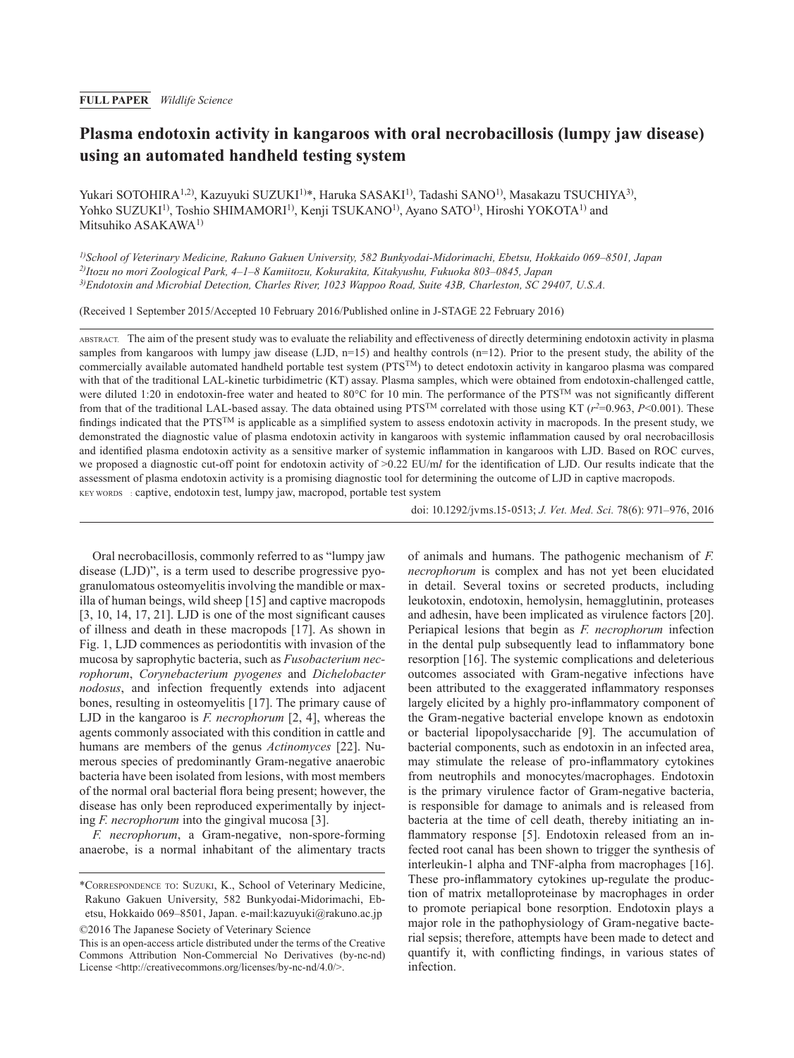# **Plasma endotoxin activity in kangaroos with oral necrobacillosis (lumpy jaw disease) using an automated handheld testing system**

Yukari SOTOHIRA<sup>1,2)</sup>, Kazuyuki SUZUKI<sup>1)\*</sup>, Haruka SASAKI<sup>1)</sup>, Tadashi SANO<sup>1)</sup>, Masakazu TSUCHIYA<sup>3)</sup>, Yohko SUZUKI<sup>1)</sup>, Toshio SHIMAMORI<sup>1)</sup>, Kenji TSUKANO<sup>1)</sup>, Ayano SATO<sup>1)</sup>, Hiroshi YOKOTA<sup>1)</sup> and Mitsuhiko ASAKAWA1)

*1)School of Veterinary Medicine, Rakuno Gakuen University, 582 Bunkyodai-Midorimachi, Ebetsu, Hokkaido 069–8501, Japan 2)Itozu no mori Zoological Park, 4–1–8 Kamiitozu, Kokurakita, Kitakyushu, Fukuoka 803–0845, Japan 3)Endotoxin and Microbial Detection, Charles River, 1023 Wappoo Road, Suite 43B, Charleston, SC 29407, U.S.A.*

(Received 1 September 2015/Accepted 10 February 2016/Published online in J-STAGE 22 February 2016)

ABSTRACT. The aim of the present study was to evaluate the reliability and effectiveness of directly determining endotoxin activity in plasma samples from kangaroos with lumpy jaw disease (LJD,  $n=15$ ) and healthy controls ( $n=12$ ). Prior to the present study, the ability of the commercially available automated handheld portable test system (PTS<sup>TM</sup>) to detect endotoxin activity in kangaroo plasma was compared with that of the traditional LAL-kinetic turbidimetric (KT) assay. Plasma samples, which were obtained from endotoxin-challenged cattle, were diluted 1:20 in endotoxin-free water and heated to 80°C for 10 min. The performance of the PTS™ was not significantly different from that of the traditional LAL-based assay. The data obtained using PTSTM correlated with those using KT (*r2*=0.963, *P*<0.001). These findings indicated that the PTS<sup>TM</sup> is applicable as a simplified system to assess endotoxin activity in macropods. In the present study, we demonstrated the diagnostic value of plasma endotoxin activity in kangaroos with systemic inflammation caused by oral necrobacillosis and identified plasma endotoxin activity as a sensitive marker of systemic inflammation in kangaroos with LJD. Based on ROC curves, we proposed a diagnostic cut-off point for endotoxin activity of >0.22 EU/m*l* for the identification of LJD. Our results indicate that the assessment of plasma endotoxin activity is a promising diagnostic tool for determining the outcome of LJD in captive macropods. KEY WORDS : captive, endotoxin test, lumpy jaw, macropod, portable test system

doi: 10.1292/jvms.15-0513; *J. Vet. Med. Sci.* 78(6): 971–976, 2016

Oral necrobacillosis, commonly referred to as "lumpy jaw disease (LJD)", is a term used to describe progressive pyogranulomatous osteomyelitis involving the mandible or maxilla of human beings, wild sheep [\[15\]](#page-4-0) and captive macropods [[3, 10, 14, 17, 21\]](#page-4-1). LJD is one of the most significant causes of illness and death in these macropods [[17](#page-5-0)]. As shown in Fig. 1, LJD commences as periodontitis with invasion of the mucosa by saprophytic bacteria, such as *Fusobacterium necrophorum*, *Corynebacterium pyogenes* and *Dichelobacter nodosus*, and infection frequently extends into adjacent bones, resulting in osteomyelitis [[17](#page-5-0)]. The primary cause of LJD in the kangaroo is *F. necrophorum* [[2, 4\]](#page-4-2), whereas the agents commonly associated with this condition in cattle and humans are members of the genus *Actinomyces* [\[22\]](#page-5-1). Numerous species of predominantly Gram-negative anaerobic bacteria have been isolated from lesions, with most members of the normal oral bacterial flora being present; however, the disease has only been reproduced experimentally by injecting *F. necrophorum* into the gingival mucosa [[3](#page-4-1)].

*F. necrophorum*, a Gram-negative, non-spore-forming anaerobe, is a normal inhabitant of the alimentary tracts of animals and humans. The pathogenic mechanism of *F. necrophorum* is complex and has not yet been elucidated in detail. Several toxins or secreted products, including leukotoxin, endotoxin, hemolysin, hemagglutinin, proteases and adhesin, have been implicated as virulence factors [[20](#page-5-2)]. Periapical lesions that begin as *F. necrophorum* infection in the dental pulp subsequently lead to inflammatory bone resorption [[16](#page-5-3)]. The systemic complications and deleterious outcomes associated with Gram-negative infections have been attributed to the exaggerated inflammatory responses largely elicited by a highly pro-inflammatory component of the Gram-negative bacterial envelope known as endotoxin or bacterial lipopolysaccharide [[9\]](#page-4-3). The accumulation of bacterial components, such as endotoxin in an infected area, may stimulate the release of pro-inflammatory cytokines from neutrophils and monocytes/macrophages. Endotoxin is the primary virulence factor of Gram-negative bacteria, is responsible for damage to animals and is released from bacteria at the time of cell death, thereby initiating an inflammatory response [\[5\]](#page-4-4). Endotoxin released from an infected root canal has been shown to trigger the synthesis of interleukin-1 alpha and TNF-alpha from macrophages [[16](#page-5-3)]. These pro-inflammatory cytokines up-regulate the production of matrix metalloproteinase by macrophages in order to promote periapical bone resorption. Endotoxin plays a major role in the pathophysiology of Gram-negative bacterial sepsis; therefore, attempts have been made to detect and quantify it, with conflicting findings, in various states of infection.

<sup>\*</sup>Correspondence to: Suzuki, K., School of Veterinary Medicine, Rakuno Gakuen University, 582 Bunkyodai-Midorimachi, Ebetsu, Hokkaido 069–8501, Japan. e-mail:kazuyuki@rakuno.ac.jp ©2016 The Japanese Society of Veterinary Science

This is an open-access article distributed under the terms of the Creative Commons Attribution Non-Commercial No Derivatives (by-nc-nd) License <<http://creativecommons.org/licenses/by-nc-nd/4.0/>>.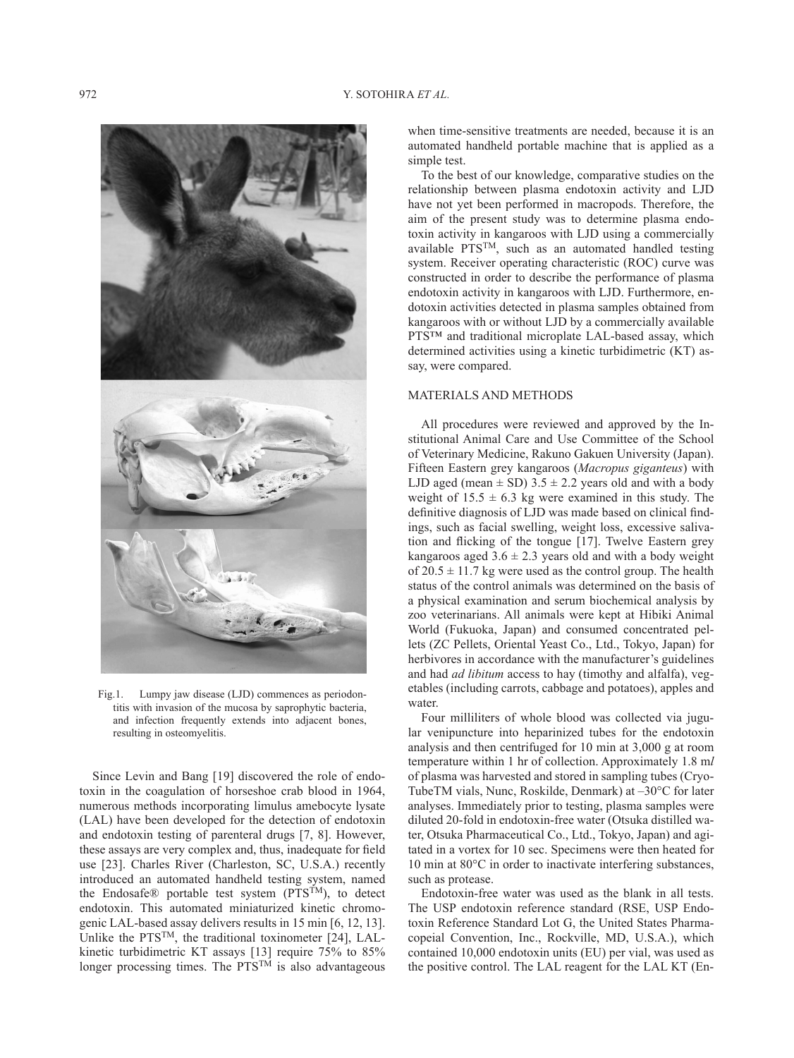

Fig.1. Lumpy jaw disease (LJD) commences as periodontitis with invasion of the mucosa by saprophytic bacteria, and infection frequently extends into adjacent bones, resulting in osteomyelitis.

Since Levin and Bang [[19](#page-5-4)] discovered the role of endotoxin in the coagulation of horseshoe crab blood in 1964, numerous methods incorporating limulus amebocyte lysate (LAL) have been developed for the detection of endotoxin and endotoxin testing of parenteral drugs [[7, 8](#page-4-5)]. However, these assays are very complex and, thus, inadequate for field use [\[23\]](#page-5-5). Charles River (Charleston, SC, U.S.A.) recently introduced an automated handheld testing system, named the Endosafe® portable test system (PTS<sup>TM</sup>), to detect endotoxin. This automated miniaturized kinetic chromogenic LAL-based assay delivers results in 15 min [[6, 12, 13\]](#page-4-6). Unlike the PTSTM, the traditional toxinometer [[24](#page-5-6)], LALkinetic turbidimetric KT assays [\[13\]](#page-4-7) require 75% to 85% longer processing times. The  $PTS^{TM}$  is also advantageous when time-sensitive treatments are needed, because it is an automated handheld portable machine that is applied as a simple test.

To the best of our knowledge, comparative studies on the relationship between plasma endotoxin activity and LJD have not yet been performed in macropods. Therefore, the aim of the present study was to determine plasma endotoxin activity in kangaroos with LJD using a commercially available PTSTM, such as an automated handled testing system. Receiver operating characteristic (ROC) curve was constructed in order to describe the performance of plasma endotoxin activity in kangaroos with LJD. Furthermore, endotoxin activities detected in plasma samples obtained from kangaroos with or without LJD by a commercially available PTS<sup>™</sup> and traditional microplate LAL-based assay, which determined activities using a kinetic turbidimetric (KT) assay, were compared.

### MATERIALS AND METHODS

All procedures were reviewed and approved by the Institutional Animal Care and Use Committee of the School of Veterinary Medicine, Rakuno Gakuen University (Japan). Fifteen Eastern grey kangaroos (*Macropus giganteus*) with LJD aged (mean  $\pm$  SD) 3.5  $\pm$  2.2 years old and with a body weight of  $15.5 \pm 6.3$  kg were examined in this study. The definitive diagnosis of LJD was made based on clinical findings, such as facial swelling, weight loss, excessive salivation and flicking of the tongue [[17](#page-5-0)]. Twelve Eastern grey kangaroos aged  $3.6 \pm 2.3$  years old and with a body weight of  $20.5 \pm 11.7$  kg were used as the control group. The health status of the control animals was determined on the basis of a physical examination and serum biochemical analysis by zoo veterinarians. All animals were kept at Hibiki Animal World (Fukuoka, Japan) and consumed concentrated pellets (ZC Pellets, Oriental Yeast Co., Ltd., Tokyo, Japan) for herbivores in accordance with the manufacturer's guidelines and had *ad libitum* access to hay (timothy and alfalfa), vegetables (including carrots, cabbage and potatoes), apples and water.

Four milliliters of whole blood was collected via jugular venipuncture into heparinized tubes for the endotoxin analysis and then centrifuged for 10 min at 3,000 g at room temperature within 1 hr of collection. Approximately 1.8 m*l* of plasma was harvested and stored in sampling tubes (Cryo-TubeTM vials, Nunc, Roskilde, Denmark) at –30°C for later analyses. Immediately prior to testing, plasma samples were diluted 20-fold in endotoxin-free water (Otsuka distilled water, Otsuka Pharmaceutical Co., Ltd., Tokyo, Japan) and agitated in a vortex for 10 sec. Specimens were then heated for 10 min at 80°C in order to inactivate interfering substances, such as protease.

Endotoxin-free water was used as the blank in all tests. The USP endotoxin reference standard (RSE, USP Endotoxin Reference Standard Lot G, the United States Pharmacopeial Convention, Inc., Rockville, MD, U.S.A.), which contained 10,000 endotoxin units (EU) per vial, was used as the positive control. The LAL reagent for the LAL KT (En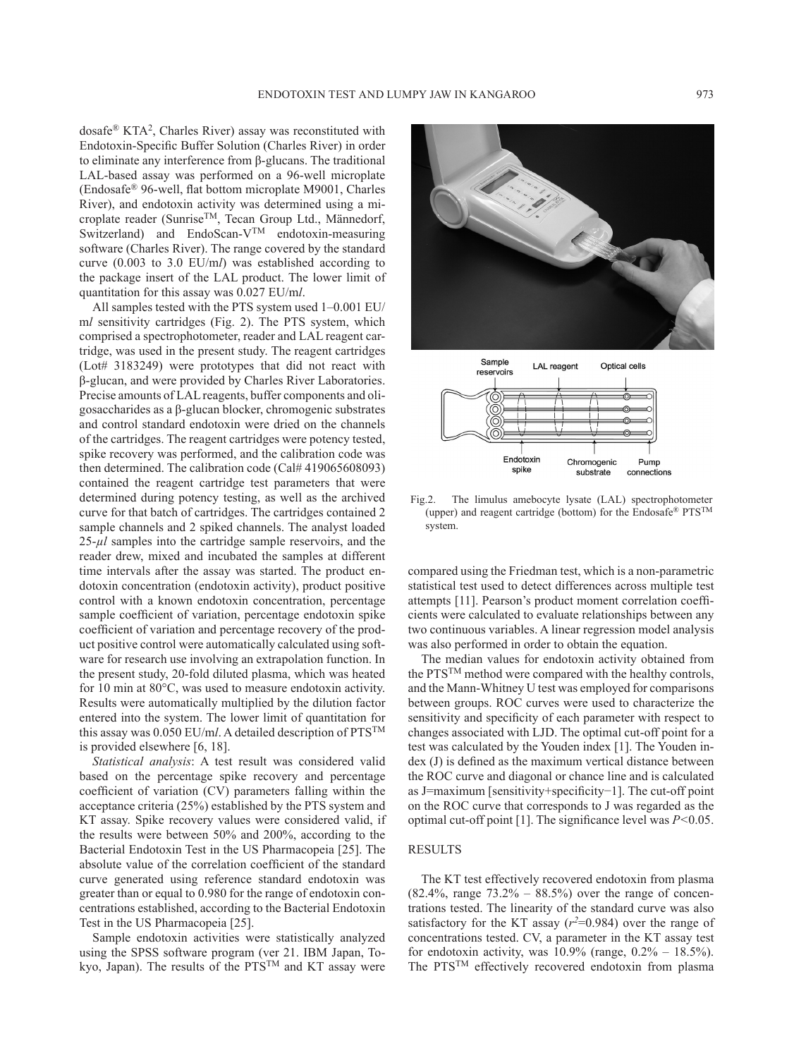dosafe® KTA2, Charles River) assay was reconstituted with Endotoxin-Specific Buffer Solution (Charles River) in order to eliminate any interference from β-glucans. The traditional LAL-based assay was performed on a 96-well microplate (Endosafe® 96-well, flat bottom microplate M9001, Charles River), and endotoxin activity was determined using a microplate reader (Sunrise<sup>TM</sup>, Tecan Group Ltd., Männedorf, Switzerland) and EndoScan-V<sup>TM</sup> endotoxin-measuring software (Charles River). The range covered by the standard curve (0.003 to 3.0 EU/m*l*) was established according to the package insert of the LAL product. The lower limit of quantitation for this assay was 0.027 EU/m*l*.

All samples tested with the PTS system used 1–0.001 EU/ m*l* sensitivity cartridges (Fig. 2). The PTS system, which comprised a spectrophotometer, reader and LAL reagent cartridge, was used in the present study. The reagent cartridges (Lot# 3183249) were prototypes that did not react with β-glucan, and were provided by Charles River Laboratories. Precise amounts of LAL reagents, buffer components and oligosaccharides as a β-glucan blocker, chromogenic substrates and control standard endotoxin were dried on the channels of the cartridges. The reagent cartridges were potency tested, spike recovery was performed, and the calibration code was then determined. The calibration code (Cal# 419065608093) contained the reagent cartridge test parameters that were determined during potency testing, as well as the archived curve for that batch of cartridges. The cartridges contained 2 sample channels and 2 spiked channels. The analyst loaded 25-*µl* samples into the cartridge sample reservoirs, and the reader drew, mixed and incubated the samples at different time intervals after the assay was started. The product endotoxin concentration (endotoxin activity), product positive control with a known endotoxin concentration, percentage sample coefficient of variation, percentage endotoxin spike coefficient of variation and percentage recovery of the product positive control were automatically calculated using software for research use involving an extrapolation function. In the present study, 20-fold diluted plasma, which was heated for 10 min at 80°C, was used to measure endotoxin activity. Results were automatically multiplied by the dilution factor entered into the system. The lower limit of quantitation for this assay was 0.050 EU/m*l*. A detailed description of PTSTM is provided elsewhere [\[6, 18](#page-4-6)].

*Statistical analysis*: A test result was considered valid based on the percentage spike recovery and percentage coefficient of variation (CV) parameters falling within the acceptance criteria (25%) established by the PTS system and KT assay. Spike recovery values were considered valid, if the results were between 50% and 200%, according to the Bacterial Endotoxin Test in the US Pharmacopeia [[25](#page-5-7)]. The absolute value of the correlation coefficient of the standard curve generated using reference standard endotoxin was greater than or equal to 0.980 for the range of endotoxin concentrations established, according to the Bacterial Endotoxin Test in the US Pharmacopeia [[25](#page-5-7)].

Sample endotoxin activities were statistically analyzed using the SPSS software program (ver 21. IBM Japan, Tokyo, Japan). The results of the PTS<sup>TM</sup> and KT assay were



Fig.2. The limulus amebocyte lysate (LAL) spectrophotometer (upper) and reagent cartridge (bottom) for the Endosafe® PTSTM system.

compared using the Friedman test, which is a non-parametric statistical test used to detect differences across multiple test attempts [\[11\]](#page-4-8). Pearson's product moment correlation coefficients were calculated to evaluate relationships between any two continuous variables. A linear regression model analysis was also performed in order to obtain the equation.

The median values for endotoxin activity obtained from the PTSTM method were compared with the healthy controls, and the Mann-Whitney U test was employed for comparisons between groups. ROC curves were used to characterize the sensitivity and specificity of each parameter with respect to changes associated with LJD. The optimal cut-off point for a test was calculated by the Youden index [\[1\]](#page-4-9). The Youden index (J) is defined as the maximum vertical distance between the ROC curve and diagonal or chance line and is calculated as J=maximum [sensitivity+specificity−1]. The cut-off point on the ROC curve that corresponds to J was regarded as the optimal cut-off point [\[1\]](#page-4-9). The significance level was *P<*0.05.

## RESULTS

The KT test effectively recovered endotoxin from plasma  $(82.4\%, \text{ range } 73.2\% - 88.5\%)$  over the range of concentrations tested. The linearity of the standard curve was also satisfactory for the KT assay  $(r^2=0.984)$  over the range of concentrations tested. CV, a parameter in the KT assay test for endotoxin activity, was  $10.9\%$  (range,  $0.2\% - 18.5\%$ ). The PTSTM effectively recovered endotoxin from plasma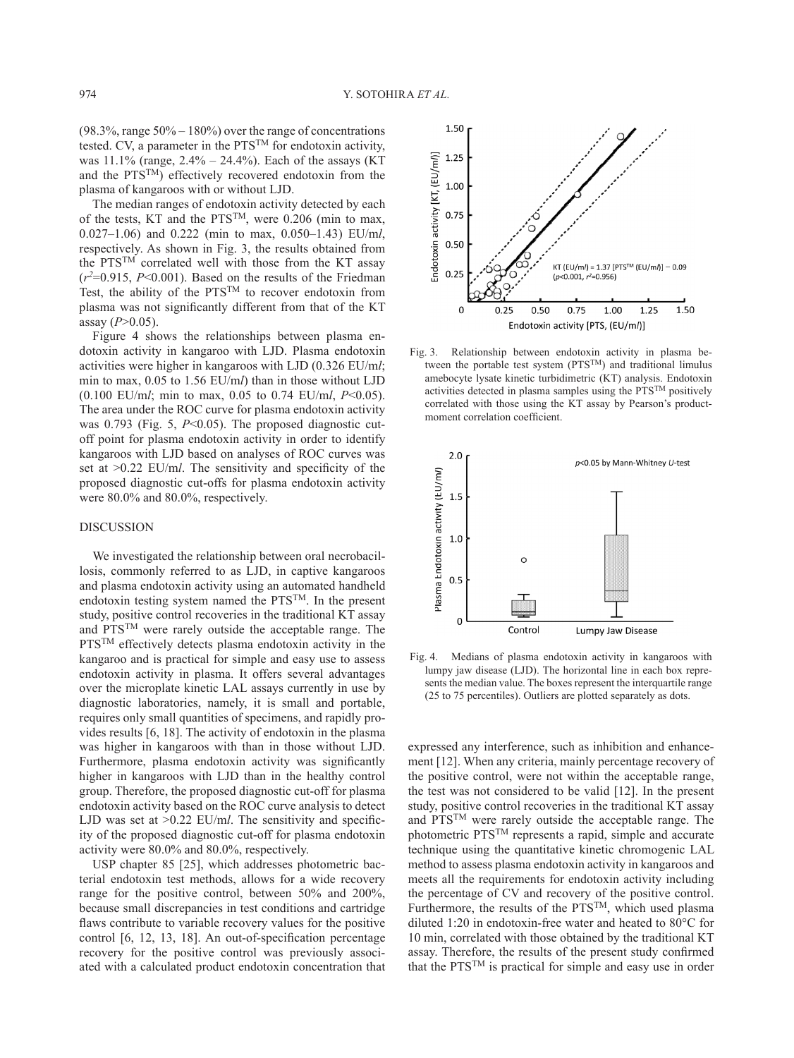$(98.3\% \text{.)}$  range  $50\% - 180\%$  over the range of concentrations tested. CV, a parameter in the PTSTM for endotoxin activity, was  $11.1\%$  (range,  $2.4\% - 24.4\%$ ). Each of the assays (KT) and the PTSTM) effectively recovered endotoxin from the plasma of kangaroos with or without LJD.

The median ranges of endotoxin activity detected by each of the tests, KT and the  $PTS^{TM}$ , were 0.206 (min to max, 0.027–1.06) and 0.222 (min to max, 0.050–1.43) EU/m*l*, respectively. As shown in Fig. 3, the results obtained from the PTS<sup>TM</sup> correlated well with those from the KT assay  $(r^2=0.915, P<0.001)$ . Based on the results of the Friedman Test, the ability of the PTS<sup>TM</sup> to recover endotoxin from plasma was not significantly different from that of the KT assay (*P*>0.05).

Figure 4 shows the relationships between plasma endotoxin activity in kangaroo with LJD. Plasma endotoxin activities were higher in kangaroos with LJD (0.326 EU/m*l*; min to max, 0.05 to 1.56 EU/m*l*) than in those without LJD (0.100 EU/m*l*; min to max, 0.05 to 0.74 EU/m*l*, *P*<0.05). The area under the ROC curve for plasma endotoxin activity was 0.793 (Fig. 5, *P*<0.05). The proposed diagnostic cutoff point for plasma endotoxin activity in order to identify kangaroos with LJD based on analyses of ROC curves was set at >0.22 EU/m*l*. The sensitivity and specificity of the proposed diagnostic cut-offs for plasma endotoxin activity were 80.0% and 80.0%, respectively.

#### DISCUSSION

We investigated the relationship between oral necrobacillosis, commonly referred to as LJD, in captive kangaroos and plasma endotoxin activity using an automated handheld endotoxin testing system named the PTSTM. In the present study, positive control recoveries in the traditional KT assay and PTSTM were rarely outside the acceptable range. The PTS<sup>TM</sup> effectively detects plasma endotoxin activity in the kangaroo and is practical for simple and easy use to assess endotoxin activity in plasma. It offers several advantages over the microplate kinetic LAL assays currently in use by diagnostic laboratories, namely, it is small and portable, requires only small quantities of specimens, and rapidly provides results [[6, 18\]](#page-4-6). The activity of endotoxin in the plasma was higher in kangaroos with than in those without LJD. Furthermore, plasma endotoxin activity was significantly higher in kangaroos with LJD than in the healthy control group. Therefore, the proposed diagnostic cut-off for plasma endotoxin activity based on the ROC curve analysis to detect LJD was set at  $>0.22$  EU/m*l*. The sensitivity and specificity of the proposed diagnostic cut-off for plasma endotoxin activity were 80.0% and 80.0%, respectively.

USP chapter 85 [[25](#page-5-7)], which addresses photometric bacterial endotoxin test methods, allows for a wide recovery range for the positive control, between 50% and 200%, because small discrepancies in test conditions and cartridge flaws contribute to variable recovery values for the positive control [\[6, 12, 13, 18](#page-4-6)]. An out-of-specification percentage recovery for the positive control was previously associated with a calculated product endotoxin concentration that



Fig. 3. Relationship between endotoxin activity in plasma between the portable test system (PTSTM) and traditional limulus amebocyte lysate kinetic turbidimetric (KT) analysis. Endotoxin activities detected in plasma samples using the  $PTS^{TM}$  positively correlated with those using the KT assay by Pearson's productmoment correlation coefficient.



Fig. 4. Medians of plasma endotoxin activity in kangaroos with lumpy jaw disease (LJD). The horizontal line in each box represents the median value. The boxes represent the interquartile range (25 to 75 percentiles). Outliers are plotted separately as dots.

expressed any interference, such as inhibition and enhancement [[12](#page-4-10)]. When any criteria, mainly percentage recovery of the positive control, were not within the acceptable range, the test was not considered to be valid [[12](#page-4-10)]. In the present study, positive control recoveries in the traditional KT assay and PTSTM were rarely outside the acceptable range. The photometric PTSTM represents a rapid, simple and accurate technique using the quantitative kinetic chromogenic LAL method to assess plasma endotoxin activity in kangaroos and meets all the requirements for endotoxin activity including the percentage of CV and recovery of the positive control. Furthermore, the results of the  $PTS^{TM}$ , which used plasma diluted 1:20 in endotoxin-free water and heated to 80°C for 10 min, correlated with those obtained by the traditional KT assay. Therefore, the results of the present study confirmed that the PTSTM is practical for simple and easy use in order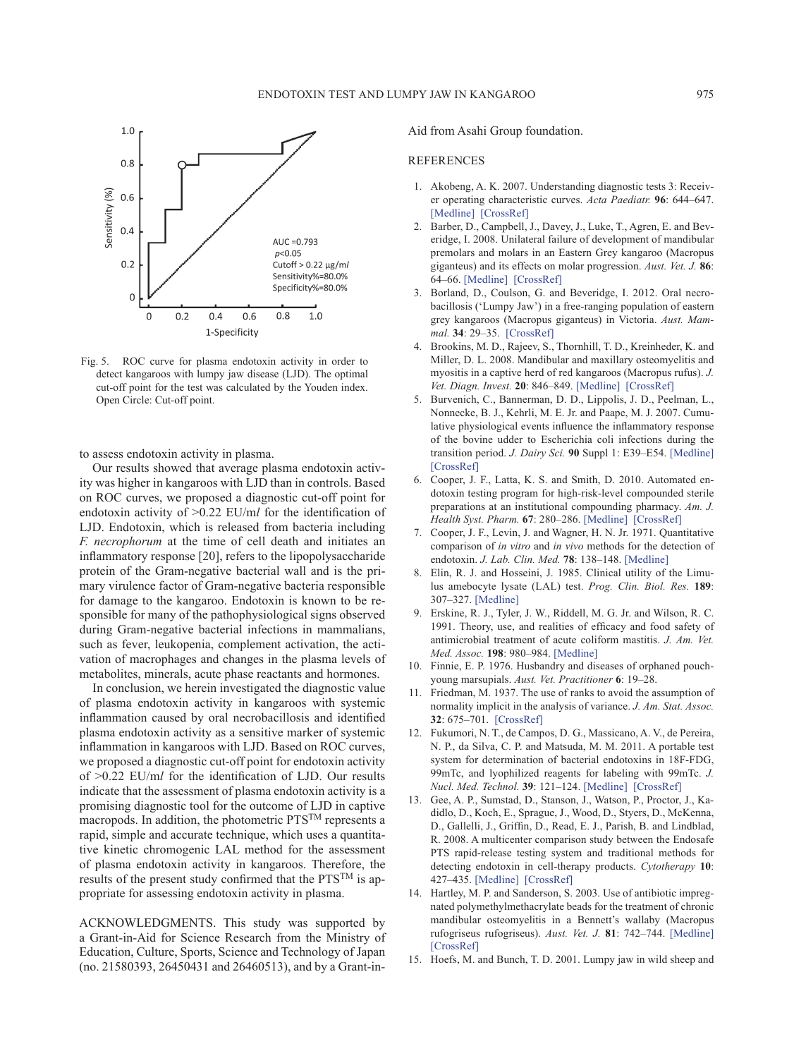

Fig. 5. ROC curve for plasma endotoxin activity in order to detect kangaroos with lumpy jaw disease (LJD). The optimal cut-off point for the test was calculated by the Youden index. Open Circle: Cut-off point.

to assess endotoxin activity in plasma.

Our results showed that average plasma endotoxin activity was higher in kangaroos with LJD than in controls. Based on ROC curves, we proposed a diagnostic cut-off point for endotoxin activity of >0.22 EU/m*l* for the identification of LJD. Endotoxin, which is released from bacteria including *F. necrophorum* at the time of cell death and initiates an inflammatory response [\[20\]](#page-5-2), refers to the lipopolysaccharide protein of the Gram-negative bacterial wall and is the primary virulence factor of Gram-negative bacteria responsible for damage to the kangaroo. Endotoxin is known to be responsible for many of the pathophysiological signs observed during Gram-negative bacterial infections in mammalians, such as fever, leukopenia, complement activation, the activation of macrophages and changes in the plasma levels of metabolites, minerals, acute phase reactants and hormones.

In conclusion, we herein investigated the diagnostic value of plasma endotoxin activity in kangaroos with systemic inflammation caused by oral necrobacillosis and identified plasma endotoxin activity as a sensitive marker of systemic inflammation in kangaroos with LJD. Based on ROC curves, we proposed a diagnostic cut-off point for endotoxin activity of >0.22 EU/m*l* for the identification of LJD. Our results indicate that the assessment of plasma endotoxin activity is a promising diagnostic tool for the outcome of LJD in captive macropods. In addition, the photometric PTSTM represents a rapid, simple and accurate technique, which uses a quantitative kinetic chromogenic LAL method for the assessment of plasma endotoxin activity in kangaroos. Therefore, the results of the present study confirmed that the PTSTM is appropriate for assessing endotoxin activity in plasma.

ACKNOWLEDGMENTS. This study was supported by a Grant-in-Aid for Science Research from the Ministry of Education, Culture, Sports, Science and Technology of Japan (no. 21580393, 26450431 and 26460513), and by a Grant-inAid from Asahi Group foundation.

#### REFERENCES

- <span id="page-4-9"></span>1. Akobeng, A. K. 2007. Understanding diagnostic tests 3: Receiver operating characteristic curves. *Acta Paediatr.* **96**: 644–647. [\[Medline\]](http://www.ncbi.nlm.nih.gov/pubmed/17376185?dopt=Abstract) [\[CrossRef\]](http://dx.doi.org/10.1111/j.1651-2227.2006.00178.x)
- <span id="page-4-2"></span>2. Barber, D., Campbell, J., Davey, J., Luke, T., Agren, E. and Beveridge, I. 2008. Unilateral failure of development of mandibular premolars and molars in an Eastern Grey kangaroo (Macropus giganteus) and its effects on molar progression. *Aust. Vet. J.* **86**: 64–66. [\[Medline\]](http://www.ncbi.nlm.nih.gov/pubmed/18271832?dopt=Abstract) [\[CrossRef\]](http://dx.doi.org/10.1111/j.1751-0813.2007.00212.x)
- <span id="page-4-1"></span>3. Borland, D., Coulson, G. and Beveridge, I. 2012. Oral necrobacillosis ('Lumpy Jaw') in a free-ranging population of eastern grey kangaroos (Macropus giganteus) in Victoria. *Aust. Mammal.* **34**: 29–35. [\[CrossRef\]](http://dx.doi.org/10.1071/AM10031)
- 4. Brookins, M. D., Rajeev, S., Thornhill, T. D., Kreinheder, K. and Miller, D. L. 2008. Mandibular and maxillary osteomyelitis and myositis in a captive herd of red kangaroos (Macropus rufus). *J. Vet. Diagn. Invest.* **20**: 846–849. [\[Medline\]](http://www.ncbi.nlm.nih.gov/pubmed/18987245?dopt=Abstract) [\[CrossRef\]](http://dx.doi.org/10.1177/104063870802000627)
- <span id="page-4-4"></span>5. Burvenich, C., Bannerman, D. D., Lippolis, J. D., Peelman, L., Nonnecke, B. J., Kehrli, M. E. Jr. and Paape, M. J. 2007. Cumulative physiological events influence the inflammatory response of the bovine udder to Escherichia coli infections during the transition period. *J. Dairy Sci.* **90** Suppl 1: E39–E54. [\[Medline\]](http://www.ncbi.nlm.nih.gov/pubmed/17517751?dopt=Abstract) [\[CrossRef\]](http://dx.doi.org/10.3168/jds.2006-696)
- <span id="page-4-6"></span>6. Cooper, J. F., Latta, K. S. and Smith, D. 2010. Automated endotoxin testing program for high-risk-level compounded sterile preparations at an institutional compounding pharmacy. *Am. J. Health Syst. Pharm.* **67**: 280–286. [\[Medline\]](http://www.ncbi.nlm.nih.gov/pubmed/20133532?dopt=Abstract) [\[CrossRef\]](http://dx.doi.org/10.2146/ajhp090290)
- <span id="page-4-5"></span>7. Cooper, J. F., Levin, J. and Wagner, H. N. Jr. 1971. Quantitative comparison of *in vitro* and *in vivo* methods for the detection of endotoxin. *J. Lab. Clin. Med.* **78**: 138–148. [\[Medline\]](http://www.ncbi.nlm.nih.gov/pubmed/4936365?dopt=Abstract)
- 8. Elin, R. J. and Hosseini, J. 1985. Clinical utility of the Limulus amebocyte lysate (LAL) test. *Prog. Clin. Biol. Res.* **189**: 307–327. [\[Medline\]](http://www.ncbi.nlm.nih.gov/pubmed/4048211?dopt=Abstract)
- <span id="page-4-3"></span>9. Erskine, R. J., Tyler, J. W., Riddell, M. G. Jr. and Wilson, R. C. 1991. Theory, use, and realities of efficacy and food safety of antimicrobial treatment of acute coliform mastitis. *J. Am. Vet. Med. Assoc.* **198**: 980–984. [\[Medline\]](http://www.ncbi.nlm.nih.gov/pubmed/2032924?dopt=Abstract)
- 10. Finnie, E. P. 1976. Husbandry and diseases of orphaned pouchyoung marsupials. *Aust. Vet. Practitioner* **6**: 19–28.
- <span id="page-4-8"></span>11. Friedman, M. 1937. The use of ranks to avoid the assumption of normality implicit in the analysis of variance. *J. Am. Stat. Assoc.* **32**: 675–701. [\[CrossRef\]](http://dx.doi.org/10.1080/01621459.1937.10503522)
- <span id="page-4-10"></span>12. Fukumori, N. T., de Campos, D. G., Massicano, A. V., de Pereira, N. P., da Silva, C. P. and Matsuda, M. M. 2011. A portable test system for determination of bacterial endotoxins in 18F-FDG, 99mTc, and lyophilized reagents for labeling with 99mTc. *J. Nucl. Med. Technol.* **39**: 121–124. [\[Medline\]](http://www.ncbi.nlm.nih.gov/pubmed/21565953?dopt=Abstract) [\[CrossRef\]](http://dx.doi.org/10.2967/jnmt.110.081380)
- <span id="page-4-7"></span>13. Gee, A. P., Sumstad, D., Stanson, J., Watson, P., Proctor, J., Kadidlo, D., Koch, E., Sprague, J., Wood, D., Styers, D., McKenna, D., Gallelli, J., Griffin, D., Read, E. J., Parish, B. and Lindblad, R. 2008. A multicenter comparison study between the Endosafe PTS rapid-release testing system and traditional methods for detecting endotoxin in cell-therapy products. *Cytotherapy* **10**: 427–435. [\[Medline\]](http://www.ncbi.nlm.nih.gov/pubmed/18574775?dopt=Abstract) [\[CrossRef\]](http://dx.doi.org/10.1080/14653240802075476)
- 14. Hartley, M. P. and Sanderson, S. 2003. Use of antibiotic impregnated polymethylmethacrylate beads for the treatment of chronic mandibular osteomyelitis in a Bennett's wallaby (Macropus rufogriseus rufogriseus). *Aust. Vet. J.* **81**: 742–744. [\[Medline\]](http://www.ncbi.nlm.nih.gov/pubmed/15080484?dopt=Abstract) [\[CrossRef\]](http://dx.doi.org/10.1111/j.1751-0813.2003.tb14604.x)
- <span id="page-4-0"></span>15. Hoefs, M. and Bunch, T. D. 2001. Lumpy jaw in wild sheep and